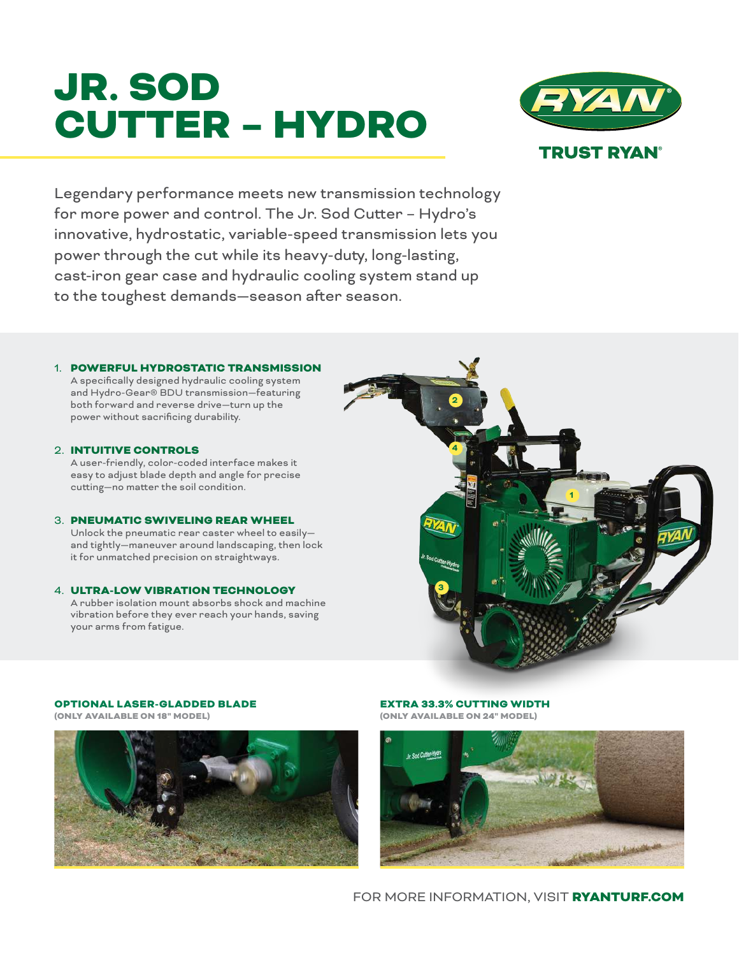# JR. SOD CUTTER – HYDRO



Legendary performance meets new transmission technology for more power and control. The Jr. Sod Cutter – Hydro's innovative, hydrostatic, variable-speed transmission lets you power through the cut while its heavy-duty, long-lasting, cast-iron gear case and hydraulic cooling system stand up to the toughest demands—season after season.

## 1. POWERFUL HYDROSTATIC TRANSMISSION

A specifically designed hydraulic cooling system and Hydro-Gear® BDU transmission—featuring both forward and reverse drive—turn up the power without sacrificing durability.

#### 2. INTUITIVE CONTROLS

A user-friendly, color-coded interface makes it easy to adjust blade depth and angle for precise cutting—no matter the soil condition.

#### 3. PNEUMATIC SWIVELING REAR WHEEL

Unlock the pneumatic rear caster wheel to easily and tightly—maneuver around landscaping, then lock it for unmatched precision on straightways.

# 4. ULTRA-LOW VIBRATION TECHNOLOGY A rubber isolation mount absorbs shock and machine

vibration before they ever reach your hands, saving your arms from fatigue.



# OPTIONAL LASER-GLADDED BLADE

(ONLY AVAILABLE ON 18" MODEL)



#### EXTRA 33.3% CUTTING WIDTH (ONLY AVAILABLE ON 24" MODEL)